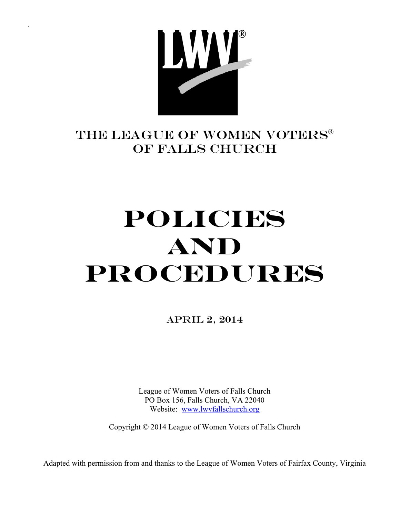

## THE LEAGUE OF WOMEN VOTERS® Of FALLS CHURCH

# **Policies And Procedures**

APRIL 2, 2014

League of Women Voters of Falls Church PO Box 156, Falls Church, VA 22040 Website: www.lwvfallschurch.org

Copyright © 2014 League of Women Voters of Falls Church

Adapted with permission from and thanks to the League of Women Voters of Fairfax County, Virginia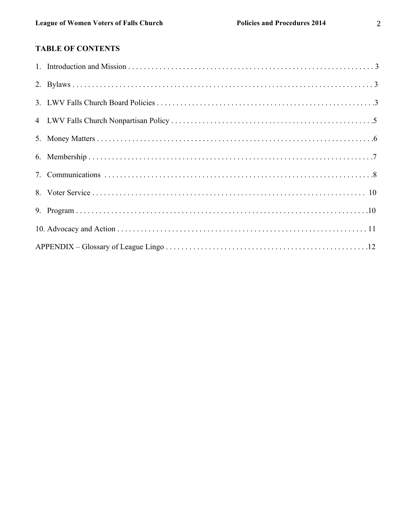### TABLE OF CONTENTS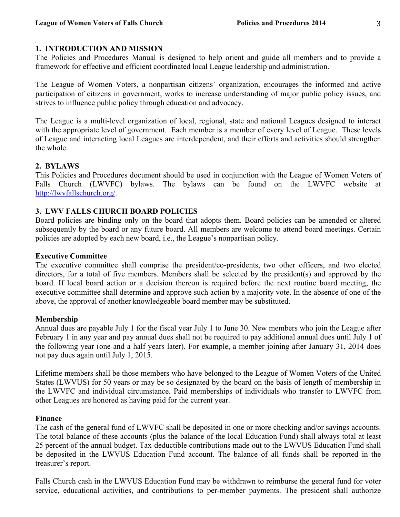#### **1. INTRODUCTION AND MISSION**

The Policies and Procedures Manual is designed to help orient and guide all members and to provide a framework for effective and efficient coordinated local League leadership and administration.

The League of Women Voters, a nonpartisan citizens' organization, encourages the informed and active participation of citizens in government, works to increase understanding of major public policy issues, and strives to influence public policy through education and advocacy.

The League is a multi-level organization of local, regional, state and national Leagues designed to interact with the appropriate level of government. Each member is a member of every level of League. These levels of League and interacting local Leagues are interdependent, and their efforts and activities should strengthen the whole.

#### **2. BYLAWS**

This Policies and Procedures document should be used in conjunction with the League of Women Voters of Falls Church (LWVFC) bylaws. The bylaws can be found on the LWVFC website at http://lwvfallschurch.org/.

#### **3. LWV FALLS CHURCH BOARD POLICIES**

Board policies are binding only on the board that adopts them. Board policies can be amended or altered subsequently by the board or any future board. All members are welcome to attend board meetings. Certain policies are adopted by each new board, i.e., the League's nonpartisan policy.

#### **Executive Committee**

The executive committee shall comprise the president/co-presidents, two other officers, and two elected directors, for a total of five members. Members shall be selected by the president(s) and approved by the board. If local board action or a decision thereon is required before the next routine board meeting, the executive committee shall determine and approve such action by a majority vote. In the absence of one of the above, the approval of another knowledgeable board member may be substituted.

#### **Membership**

Annual dues are payable July 1 for the fiscal year July 1 to June 30. New members who join the League after February 1 in any year and pay annual dues shall not be required to pay additional annual dues until July 1 of the following year (one and a half years later). For example, a member joining after January 31, 2014 does not pay dues again until July 1, 2015.

Lifetime members shall be those members who have belonged to the League of Women Voters of the United States (LWVUS) for 50 years or may be so designated by the board on the basis of length of membership in the LWVFC and individual circumstance. Paid memberships of individuals who transfer to LWVFC from other Leagues are honored as having paid for the current year.

#### **Finance**

The cash of the general fund of LWVFC shall be deposited in one or more checking and/or savings accounts. The total balance of these accounts (plus the balance of the local Education Fund) shall always total at least 25 percent of the annual budget. Tax-deductible contributions made out to the LWVUS Education Fund shall be deposited in the LWVUS Education Fund account. The balance of all funds shall be reported in the treasurer's report.

Falls Church cash in the LWVUS Education Fund may be withdrawn to reimburse the general fund for voter service, educational activities, and contributions to per-member payments. The president shall authorize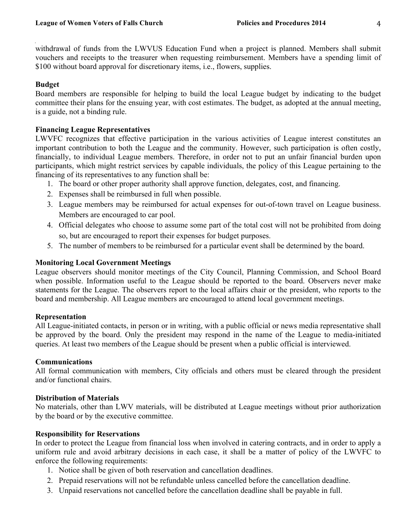withdrawal of funds from the LWVUS Education Fund when a project is planned. Members shall submit vouchers and receipts to the treasurer when requesting reimbursement. Members have a spending limit of \$100 without board approval for discretionary items, i.e., flowers, supplies.

#### **Budget**

Board members are responsible for helping to build the local League budget by indicating to the budget committee their plans for the ensuing year, with cost estimates. The budget, as adopted at the annual meeting, is a guide, not a binding rule.

#### **Financing League Representatives**

LWVFC recognizes that effective participation in the various activities of League interest constitutes an important contribution to both the League and the community. However, such participation is often costly, financially, to individual League members. Therefore, in order not to put an unfair financial burden upon participants, which might restrict services by capable individuals, the policy of this League pertaining to the financing of its representatives to any function shall be:

- 1. The board or other proper authority shall approve function, delegates, cost, and financing.
- 2. Expenses shall be reimbursed in full when possible.
- 3. League members may be reimbursed for actual expenses for out-of-town travel on League business. Members are encouraged to car pool.
- 4. Official delegates who choose to assume some part of the total cost will not be prohibited from doing so, but are encouraged to report their expenses for budget purposes.
- 5. The number of members to be reimbursed for a particular event shall be determined by the board.

#### **Monitoring Local Government Meetings**

League observers should monitor meetings of the City Council, Planning Commission, and School Board when possible. Information useful to the League should be reported to the board. Observers never make statements for the League. The observers report to the local affairs chair or the president, who reports to the board and membership. All League members are encouraged to attend local government meetings.

#### **Representation**

All League-initiated contacts, in person or in writing, with a public official or news media representative shall be approved by the board. Only the president may respond in the name of the League to media-initiated queries. At least two members of the League should be present when a public official is interviewed.

#### **Communications**

All formal communication with members, City officials and others must be cleared through the president and/or functional chairs.

#### **Distribution of Materials**

No materials, other than LWV materials, will be distributed at League meetings without prior authorization by the board or by the executive committee.

#### **Responsibility for Reservations**

In order to protect the League from financial loss when involved in catering contracts, and in order to apply a uniform rule and avoid arbitrary decisions in each case, it shall be a matter of policy of the LWVFC to enforce the following requirements:

- 1. Notice shall be given of both reservation and cancellation deadlines.
- 2. Prepaid reservations will not be refundable unless cancelled before the cancellation deadline.
- 3. Unpaid reservations not cancelled before the cancellation deadline shall be payable in full.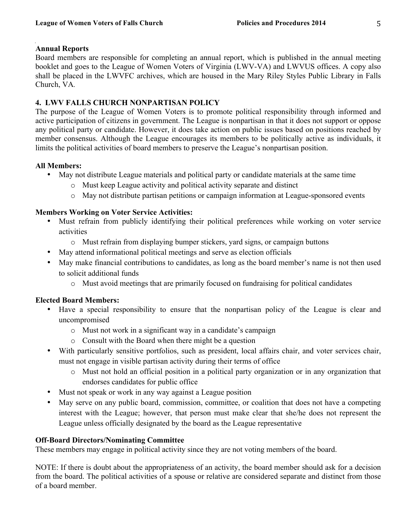#### **Annual Reports**

Board members are responsible for completing an annual report, which is published in the annual meeting booklet and goes to the League of Women Voters of Virginia (LWV-VA) and LWVUS offices. A copy also shall be placed in the LWVFC archives, which are housed in the Mary Riley Styles Public Library in Falls Church, VA*.* 

#### **4. LWV FALLS CHURCH NONPARTISAN POLICY**

The purpose of the League of Women Voters is to promote political responsibility through informed and active participation of citizens in government. The League is nonpartisan in that it does not support or oppose any political party or candidate. However, it does take action on public issues based on positions reached by member consensus. Although the League encourages its members to be politically active as individuals, it limits the political activities of board members to preserve the League's nonpartisan position.

#### **All Members:**

- May not distribute League materials and political party or candidate materials at the same time
	- o Must keep League activity and political activity separate and distinct
	- o May not distribute partisan petitions or campaign information at League-sponsored events

#### **Members Working on Voter Service Activities:**

- Must refrain from publicly identifying their political preferences while working on voter service activities
	- o Must refrain from displaying bumper stickers, yard signs, or campaign buttons
- May attend informational political meetings and serve as election officials
- May make financial contributions to candidates, as long as the board member's name is not then used to solicit additional funds
	- o Must avoid meetings that are primarily focused on fundraising for political candidates

#### **Elected Board Members:**

- Have a special responsibility to ensure that the nonpartisan policy of the League is clear and uncompromised
	- o Must not work in a significant way in a candidate's campaign
	- o Consult with the Board when there might be a question
- With particularly sensitive portfolios, such as president, local affairs chair, and voter services chair, must not engage in visible partisan activity during their terms of office
	- o Must not hold an official position in a political party organization or in any organization that endorses candidates for public office
- Must not speak or work in any way against a League position
- May serve on any public board, commission, committee, or coalition that does not have a competing interest with the League; however, that person must make clear that she/he does not represent the League unless officially designated by the board as the League representative

#### **Off-Board Directors/Nominating Committee**

These members may engage in political activity since they are not voting members of the board.

NOTE: If there is doubt about the appropriateness of an activity, the board member should ask for a decision from the board. The political activities of a spouse or relative are considered separate and distinct from those of a board member.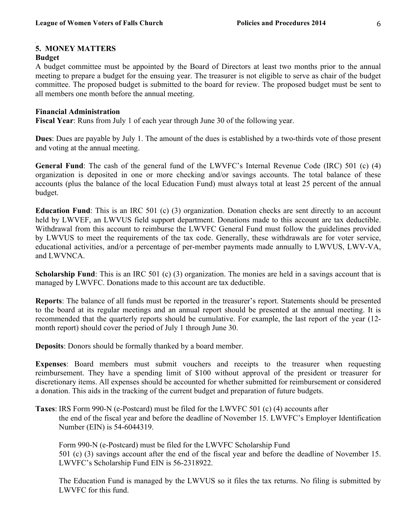#### **5. MONEY MATTERS**

#### **Budget**

A budget committee must be appointed by the Board of Directors at least two months prior to the annual meeting to prepare a budget for the ensuing year. The treasurer is not eligible to serve as chair of the budget committee. The proposed budget is submitted to the board for review. The proposed budget must be sent to all members one month before the annual meeting.

#### **Financial Administration**

**Fiscal Year**: Runs from July 1 of each year through June 30 of the following year.

**Dues**: Dues are payable by July 1. The amount of the dues is established by a two-thirds vote of those present and voting at the annual meeting.

**General Fund**: The cash of the general fund of the LWVFC's Internal Revenue Code (IRC) 501 (c) (4) organization is deposited in one or more checking and/or savings accounts. The total balance of these accounts (plus the balance of the local Education Fund) must always total at least 25 percent of the annual budget.

**Education Fund**: This is an IRC 501 (c) (3) organization. Donation checks are sent directly to an account held by LWVEF, an LWVUS field support department. Donations made to this account are tax deductible. Withdrawal from this account to reimburse the LWVFC General Fund must follow the guidelines provided by LWVUS to meet the requirements of the tax code. Generally, these withdrawals are for voter service, educational activities, and/or a percentage of per-member payments made annually to LWVUS, LWV-VA, and LWVNCA.

**Scholarship Fund**: This is an IRC 501 (c) (3) organization. The monies are held in a savings account that is managed by LWVFC. Donations made to this account are tax deductible.

**Reports**: The balance of all funds must be reported in the treasurer's report. Statements should be presented to the board at its regular meetings and an annual report should be presented at the annual meeting. It is recommended that the quarterly reports should be cumulative. For example, the last report of the year (12 month report) should cover the period of July 1 through June 30.

**Deposits**: Donors should be formally thanked by a board member.

**Expenses**: Board members must submit vouchers and receipts to the treasurer when requesting reimbursement. They have a spending limit of \$100 without approval of the president or treasurer for discretionary items. All expenses should be accounted for whether submitted for reimbursement or considered a donation. This aids in the tracking of the current budget and preparation of future budgets.

**Taxes**: IRS Form 990-N (e-Postcard) must be filed for the LWVFC 501 (c) (4) accounts after the end of the fiscal year and before the deadline of November 15. LWVFC's Employer Identification Number (EIN) is 54-6044319.

Form 990-N (e-Postcard) must be filed for the LWVFC Scholarship Fund 501 (c) (3) savings account after the end of the fiscal year and before the deadline of November 15. LWVFC's Scholarship Fund EIN is 56-2318922.

The Education Fund is managed by the LWVUS so it files the tax returns. No filing is submitted by LWVFC for this fund.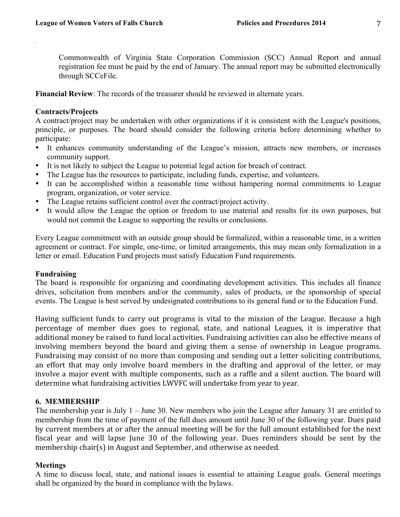Commonwealth of Virginia State Corporation Commission (SCC) Annual Report and annual registration fee must be paid by the end of January. The annual report may be submitted electronically through SCCeFile.

**Financial Review:** The records of the treasurer should be reviewed in alternate years.

#### **Contracts/Projects**

A contract/project may be undertaken with other organizations if it is consistent with the League's positions, principle, or purposes. The board should consider the following criteria before determining whether to participate:

- It enhances community understanding of the League's mission, attracts new members, or increases community support.
- It is not likely to subject the League to potential legal action for breach of contract.
- The League has the resources to participate, including funds, expertise, and volunteers.
- It can be accomplished within a reasonable time without hampering normal commitments to League program, organization, or voter service.
- The League retains sufficient control over the contract/project activity.
- It would allow the League the option or freedom to use material and results for its own purposes, but would not commit the League to supporting the results or conclusions.

Every League commitment with an outside group should be formalized, within a reasonable time, in a written agreement or contract. For simple, one-time, or limited arrangements, this may mean only formalization in a letter or email. Education Fund projects must satisfy Education Fund requirements.

#### **Fundraising**

The board is responsible for organizing and coordinating development activities. This includes all finance drives, solicitation from members and/or the community, sales of products, or the sponsorship of special events. The League is best served by undesignated contributions to its general fund or to the Education Fund.

Having sufficient funds to carry out programs is vital to the mission of the League. Because a high percentage of member dues goes to regional, state, and national Leagues, it is imperative that additional money be raised to fund local activities. Fundraising activities can also be effective means of involving members beyond the board and giving them a sense of ownership in League programs. Fundraising may consist of no more than composing and sending out a letter soliciting contributions, an effort that may only involve board members in the drafting and approval of the letter, or may involve a major event with multiple components, such as a raffle and a silent auction. The board will determine what fundraising activities LWVFC will undertake from year to year.

#### **6. MEMBERSHIP**

The membership year is July 1 – June 30. New members who join the League after January 31 are entitled to membership from the time of payment of the full dues amount until June 30 of the following year. Dues paid by current members at or after the annual meeting will be for the full amount established for the next fiscal year and will lapse June 30 of the following year. Dues reminders should be sent by the membership chair(s) in August and September, and otherwise as needed.

#### **Meetings**

A time to discuss local, state, and national issues is essential to attaining League goals. General meetings shall be organized by the board in compliance with the bylaws.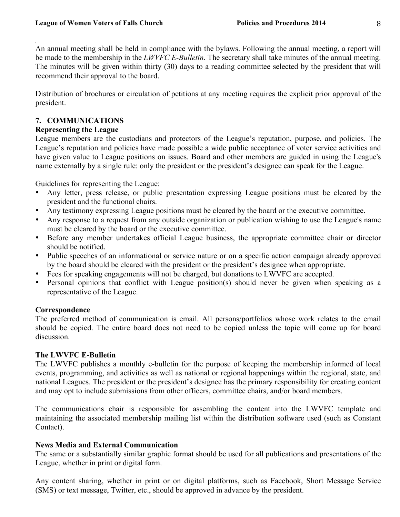An annual meeting shall be held in compliance with the bylaws. Following the annual meeting, a report will be made to the membership in the *LWVFC E-Bulletin*. The secretary shall take minutes of the annual meeting. The minutes will be given within thirty (30) days to a reading committee selected by the president that will recommend their approval to the board.

Distribution of brochures or circulation of petitions at any meeting requires the explicit prior approval of the president.

#### **7. COMMUNICATIONS**

#### **Representing the League**

League members are the custodians and protectors of the League's reputation, purpose, and policies. The League's reputation and policies have made possible a wide public acceptance of voter service activities and have given value to League positions on issues. Board and other members are guided in using the League's name externally by a single rule: only the president or the president's designee can speak for the League.

Guidelines for representing the League:

- Any letter, press release, or public presentation expressing League positions must be cleared by the president and the functional chairs.
- Any testimony expressing League positions must be cleared by the board or the executive committee.
- Any response to a request from any outside organization or publication wishing to use the League's name must be cleared by the board or the executive committee.
- Before any member undertakes official League business, the appropriate committee chair or director should be notified.
- Public speeches of an informational or service nature or on a specific action campaign already approved by the board should be cleared with the president or the president's designee when appropriate.
- Fees for speaking engagements will not be charged, but donations to LWVFC are accepted.
- Personal opinions that conflict with League position(s) should never be given when speaking as a representative of the League.

#### **Correspondence**

The preferred method of communication is email. All persons/portfolios whose work relates to the email should be copied. The entire board does not need to be copied unless the topic will come up for board discussion.

#### **The LWVFC E-Bulletin**

The LWVFC publishes a monthly e-bulletin for the purpose of keeping the membership informed of local events, programming, and activities as well as national or regional happenings within the regional, state, and national Leagues. The president or the president's designee has the primary responsibility for creating content and may opt to include submissions from other officers, committee chairs, and/or board members.

The communications chair is responsible for assembling the content into the LWVFC template and maintaining the associated membership mailing list within the distribution software used (such as Constant Contact).

#### **News Media and External Communication**

The same or a substantially similar graphic format should be used for all publications and presentations of the League, whether in print or digital form.

Any content sharing, whether in print or on digital platforms, such as Facebook, Short Message Service (SMS) or text message, Twitter, etc., should be approved in advance by the president.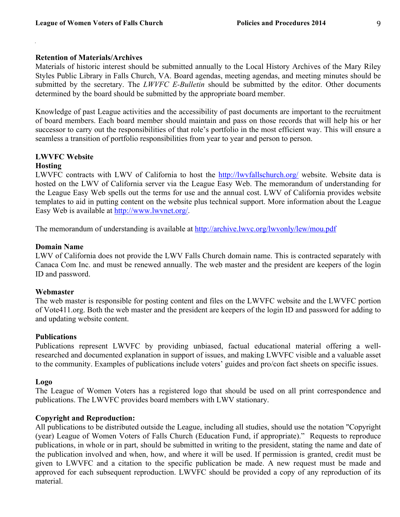#### **Retention of Materials/Archives**

Materials of historic interest should be submitted annually to the Local History Archives of the Mary Riley Styles Public Library in Falls Church, VA. Board agendas, meeting agendas, and meeting minutes should be submitted by the secretary. The *LWVFC E-Bulletin* should be submitted by the editor. Other documents determined by the board should be submitted by the appropriate board member.

Knowledge of past League activities and the accessibility of past documents are important to the recruitment of board members. Each board member should maintain and pass on those records that will help his or her successor to carry out the responsibilities of that role's portfolio in the most efficient way. This will ensure a seamless a transition of portfolio responsibilities from year to year and person to person.

## **LWVFC Website**

#### **Hosting**

LWVFC contracts with LWV of California to host the http://lwvfallschurch.org/ website. Website data is hosted on the LWV of California server via the League Easy Web. The memorandum of understanding for the League Easy Web spells out the terms for use and the annual cost. LWV of California provides website templates to aid in putting content on the website plus technical support. More information about the League Easy Web is available at http://www.lwvnet.org/.

The memorandum of understanding is available at http://archive.lwvc.org/lwvonly/lew/mou.pdf

#### **Domain Name**

LWV of California does not provide the LWV Falls Church domain name. This is contracted separately with Canaca Com Inc. and must be renewed annually. The web master and the president are keepers of the login ID and password.

#### **Webmaster**

The web master is responsible for posting content and files on the LWVFC website and the LWVFC portion of Vote411.org. Both the web master and the president are keepers of the login ID and password for adding to and updating website content.

#### **Publications**

Publications represent LWVFC by providing unbiased, factual educational material offering a wellresearched and documented explanation in support of issues, and making LWVFC visible and a valuable asset to the community. Examples of publications include voters' guides and pro/con fact sheets on specific issues.

#### **Logo**

The League of Women Voters has a registered logo that should be used on all print correspondence and publications. The LWVFC provides board members with LWV stationary.

#### **Copyright and Reproduction:**

All publications to be distributed outside the League, including all studies, should use the notation "Copyright (year) League of Women Voters of Falls Church (Education Fund, if appropriate)." Requests to reproduce publications, in whole or in part, should be submitted in writing to the president, stating the name and date of the publication involved and when, how, and where it will be used. If permission is granted, credit must be given to LWVFC and a citation to the specific publication be made. A new request must be made and approved for each subsequent reproduction. LWVFC should be provided a copy of any reproduction of its material.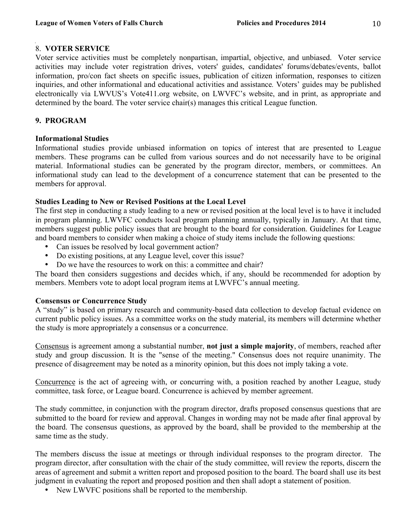#### 8. **VOTER SERVICE**

Voter service activities must be completely nonpartisan, impartial, objective, and unbiased. Voter service activities may include voter registration drives, voters' guides, candidates' forums/debates/events, ballot information, pro/con fact sheets on specific issues, publication of citizen information, responses to citizen inquiries, and other informational and educational activities and assistance*.* Voters' guides may be published electronically via LWVUS's Vote411.org website, on LWVFC's website, and in print, as appropriate and determined by the board. The voter service chair(s) manages this critical League function.

#### **9. PROGRAM**

#### **Informational Studies**

Informational studies provide unbiased information on topics of interest that are presented to League members. These programs can be culled from various sources and do not necessarily have to be original material. Informational studies can be generated by the program director, members, or committees. An informational study can lead to the development of a concurrence statement that can be presented to the members for approval.

#### **Studies Leading to New or Revised Positions at the Local Level**

The first step in conducting a study leading to a new or revised position at the local level is to have it included in program planning. LWVFC conducts local program planning annually, typically in January. At that time, members suggest public policy issues that are brought to the board for consideration. Guidelines for League and board members to consider when making a choice of study items include the following questions:

- Can issues be resolved by local government action?
- Do existing positions, at any League level, cover this issue?
- Do we have the resources to work on this: a committee and chair?

The board then considers suggestions and decides which, if any, should be recommended for adoption by members. Members vote to adopt local program items at LWVFC's annual meeting.

#### **Consensus or Concurrence Study**

A "study" is based on primary research and community-based data collection to develop factual evidence on current public policy issues. As a committee works on the study material, its members will determine whether the study is more appropriately a consensus or a concurrence.

Consensus is agreement among a substantial number, **not just a simple majority**, of members, reached after study and group discussion. It is the "sense of the meeting." Consensus does not require unanimity. The presence of disagreement may be noted as a minority opinion, but this does not imply taking a vote.

Concurrence is the act of agreeing with, or concurring with, a position reached by another League, study committee, task force, or League board. Concurrence is achieved by member agreement.

The study committee, in conjunction with the program director, drafts proposed consensus questions that are submitted to the board for review and approval. Changes in wording may not be made after final approval by the board. The consensus questions, as approved by the board, shall be provided to the membership at the same time as the study.

The members discuss the issue at meetings or through individual responses to the program director. The program director, after consultation with the chair of the study committee, will review the reports, discern the areas of agreement and submit a written report and proposed position to the board. The board shall use its best judgment in evaluating the report and proposed position and then shall adopt a statement of position.

• New LWVFC positions shall be reported to the membership.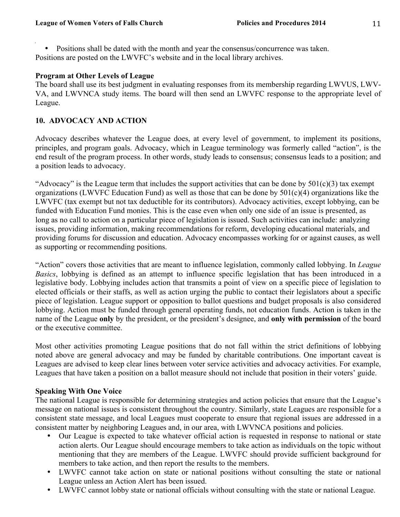• Positions shall be dated with the month and year the consensus/concurrence was taken. Positions are posted on the LWVFC's website and in the local library archives.

#### **Program at Other Levels of League**

The board shall use its best judgment in evaluating responses from its membership regarding LWVUS, LWV-VA, and LWVNCA study items. The board will then send an LWVFC response to the appropriate level of League.

#### **10. ADVOCACY AND ACTION**

Advocacy describes whatever the League does, at every level of government, to implement its positions, principles, and program goals. Advocacy, which in League terminology was formerly called "action", is the end result of the program process. In other words, study leads to consensus; consensus leads to a position; and a position leads to advocacy.

"Advocacy" is the League term that includes the support activities that can be done by  $501(c)(3)$  tax exempt organizations (LWVFC Education Fund) as well as those that can be done by 501(c)(4) organizations like the LWVFC (tax exempt but not tax deductible for its contributors). Advocacy activities, except lobbying, can be funded with Education Fund monies. This is the case even when only one side of an issue is presented, as long as no call to action on a particular piece of legislation is issued. Such activities can include: analyzing issues, providing information, making recommendations for reform, developing educational materials, and providing forums for discussion and education. Advocacy encompasses working for or against causes, as well as supporting or recommending positions.

"Action" covers those activities that are meant to influence legislation, commonly called lobbying. In *League Basics*, lobbying is defined as an attempt to influence specific legislation that has been introduced in a legislative body. Lobbying includes action that transmits a point of view on a specific piece of legislation to elected officials or their staffs, as well as action urging the public to contact their legislators about a specific piece of legislation. League support or opposition to ballot questions and budget proposals is also considered lobbying. Action must be funded through general operating funds, not education funds. Action is taken in the name of the League **only** by the president, or the president's designee, and **only with permission** of the board or the executive committee.

Most other activities promoting League positions that do not fall within the strict definitions of lobbying noted above are general advocacy and may be funded by charitable contributions. One important caveat is Leagues are advised to keep clear lines between voter service activities and advocacy activities. For example, Leagues that have taken a position on a ballot measure should not include that position in their voters' guide.

#### **Speaking With One Voice**

The national League is responsible for determining strategies and action policies that ensure that the League's message on national issues is consistent throughout the country. Similarly, state Leagues are responsible for a consistent state message, and local Leagues must cooperate to ensure that regional issues are addressed in a consistent matter by neighboring Leagues and, in our area, with LWVNCA positions and policies.

- Our League is expected to take whatever official action is requested in response to national or state action alerts. Our League should encourage members to take action as individuals on the topic without mentioning that they are members of the League. LWVFC should provide sufficient background for members to take action, and then report the results to the members.
- LWVFC cannot take action on state or national positions without consulting the state or national League unless an Action Alert has been issued.
- LWVFC cannot lobby state or national officials without consulting with the state or national League.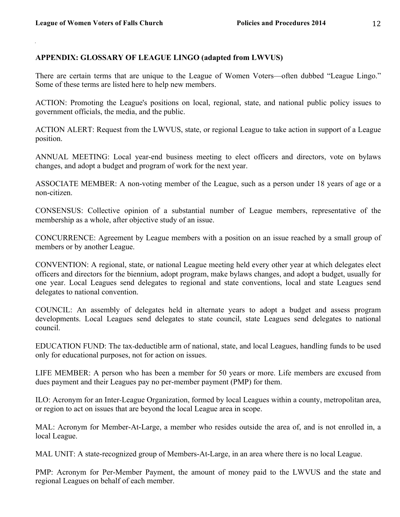#### **APPENDIX: GLOSSARY OF LEAGUE LINGO (adapted from LWVUS)**

There are certain terms that are unique to the League of Women Voters—often dubbed "League Lingo." Some of these terms are listed here to help new members.

ACTION: Promoting the League's positions on local, regional, state, and national public policy issues to government officials, the media, and the public.

ACTION ALERT: Request from the LWVUS, state, or regional League to take action in support of a League position.

ANNUAL MEETING: Local year-end business meeting to elect officers and directors, vote on bylaws changes, and adopt a budget and program of work for the next year.

ASSOCIATE MEMBER: A non-voting member of the League, such as a person under 18 years of age or a non-citizen.

CONSENSUS: Collective opinion of a substantial number of League members, representative of the membership as a whole, after objective study of an issue.

CONCURRENCE: Agreement by League members with a position on an issue reached by a small group of members or by another League.

CONVENTION: A regional, state, or national League meeting held every other year at which delegates elect officers and directors for the biennium, adopt program, make bylaws changes, and adopt a budget, usually for one year. Local Leagues send delegates to regional and state conventions, local and state Leagues send delegates to national convention.

COUNCIL: An assembly of delegates held in alternate years to adopt a budget and assess program developments. Local Leagues send delegates to state council, state Leagues send delegates to national council.

EDUCATION FUND: The tax-deductible arm of national, state, and local Leagues, handling funds to be used only for educational purposes, not for action on issues.

LIFE MEMBER: A person who has been a member for 50 years or more. Life members are excused from dues payment and their Leagues pay no per-member payment (PMP) for them.

ILO: Acronym for an Inter-League Organization, formed by local Leagues within a county, metropolitan area, or region to act on issues that are beyond the local League area in scope.

MAL: Acronym for Member-At-Large, a member who resides outside the area of, and is not enrolled in, a local League.

MAL UNIT: A state-recognized group of Members-At-Large, in an area where there is no local League.

PMP: Acronym for Per-Member Payment, the amount of money paid to the LWVUS and the state and regional Leagues on behalf of each member.